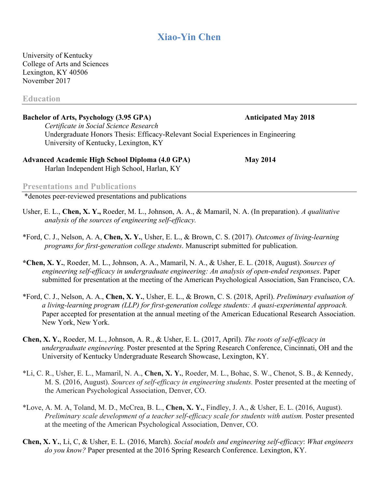# **Xiao-Yin Chen**

University of Kentucky College of Arts and Sciences Lexington, KY 40506 November 2017

**Education**

### **Bachelor of Arts, Psychology (3.95 GPA) Anticipated May 2018**

*Certificate in Social Science Research* Undergraduate Honors Thesis: Efficacy-Relevant Social Experiences in Engineering University of Kentucky, Lexington, KY

### **Advanced Academic High School Diploma (4.0 GPA) May 2014** Harlan Independent High School, Harlan, KY

### **Presentations and Publications**

\*denotes peer-reviewed presentations and publications

- Usher, E. L., **Chen, X. Y.,** Roeder, M. L., Johnson, A. A., & Mamaril, N. A. (In preparation). *A qualitative analysis of the sources of engineering self-efficacy.*
- \*Ford, C. J., Nelson, A. A, **Chen, X. Y.**, Usher, E. L., & Brown, C. S. (2017). *Outcomes of living-learning programs for first-generation college students*. Manuscript submitted for publication.
- **\*Chen, X. Y.**, Roeder, M. L., Johnson, A. A., Mamaril, N. A., & Usher, E. L. (2018, August). *Sources of engineering self-efficacy in undergraduate engineering: An analysis of open-ended responses*. Paper submitted for presentation at the meeting of the American Psychological Association, San Francisco, CA.
- \*Ford, C. J., Nelson, A. A., **Chen, X. Y.**, Usher, E. L., & Brown, C. S. (2018, April). *Preliminary evaluation of a living-learning program (LLP) for first-generation college students: A quasi-experimental approach.*  Paper accepted for presentation at the annual meeting of the American Educational Research Association. New York, New York.
- **Chen, X. Y.**, Roeder, M. L., Johnson, A. R., & Usher, E. L. (2017, April). *The roots of self-efficacy in undergraduate engineering.* Poster presented at the Spring Research Conference, Cincinnati, OH and the University of Kentucky Undergraduate Research Showcase, Lexington, KY.
- \*Li, C. R., Usher, E. L., Mamaril, N. A., **Chen, X. Y.**, Roeder, M. L., Bohac, S. W., Chenot, S. B., & Kennedy, M. S. (2016, August). *Sources of self-efficacy in engineering students.* Poster presented at the meeting of the American Psychological Association, Denver, CO.
- \*Love, A. M. A, Toland, M. D., McCrea, B. L., **Chen, X. Y.**, Findley, J. A., & Usher, E. L. (2016, August). *Preliminary scale development of a teacher self-efficacy scale for students with autism.* Poster presented at the meeting of the American Psychological Association, Denver, CO.
- **Chen, X. Y.**, Li, C, & Usher, E. L. (2016, March). *Social models and engineering self-efficacy*: *What engineers do you know?* Paper presented at the 2016 Spring Research Conference. Lexington, KY.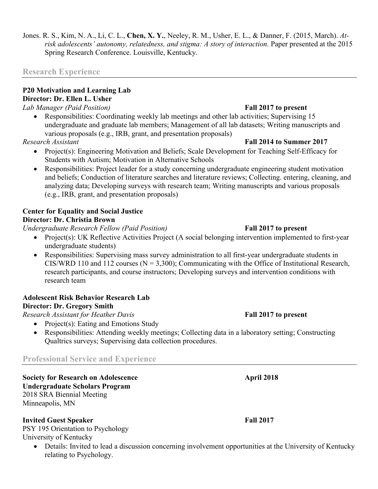## **Research Experience**

## **P20 Motivation and Learning Lab Director: Dr. Ellen L. Usher**

*Lab Manager (Paid Position)* **Fall 2017 to present**

• Responsibilities: Coordinating weekly lab meetings and other lab activities; Supervising 15 undergraduate and graduate lab members; Management of all lab datasets; Writing manuscripts and various proposals (e.g., IRB, grant, and presentation proposals)

*Research Assistant* **Fall 2014 to Summer 2017**

- Project(s): Engineering Motivation and Beliefs; Scale Development for Teaching Self-Efficacy for Students with Autism; Motivation in Alternative Schools
- Responsibilities: Project leader for a study concerning undergraduate engineering student motivation and beliefs; Conduction of literature searches and literature reviews; Collecting. entering, cleaning, and analyzing data; Developing surveys with research team; Writing manuscripts and various proposals (e.g., IRB, grant, and presentation proposals)

## **Center for Equality and Social Justice Director: Dr. Christia Brown**

*Undergraduate Research Fellow (Paid Position)* **Fall 2017 to present**

- Project(s): UK Reflective Activities Project (A social belonging intervention implemented to first-year undergraduate students)
- Responsibilities: Supervising mass survey administration to all first-year undergraduate students in CIS/WRD 110 and 112 courses ( $N = 3,300$ ); Communicating with the Office of Institutional Research, research participants, and course instructors; Developing surveys and intervention conditions with research team

# **Adolescent Risk Behavior Research Lab**

## **Director: Dr. Gregory Smith**

*Research Assistant for Heather Davis* **Fall 2017 to present**

- Project(s): Eating and Emotions Study
- Responsibilities: Attending weekly meetings; Collecting data in a laboratory setting; Constructing Qualtrics surveys; Supervising data collection procedures.

## **Professional Service and Experience**

**Society for Research on Adolescence April 2018 Undergraduate Scholars Program** 2018 SRA Biennial Meeting Minneapolis, MN

## **Invited Guest Speaker Fall 2017**

PSY 195 Orientation to Psychology University of Kentucky

• Details: Invited to lead a discussion concerning involvement opportunities at the University of Kentucky relating to Psychology.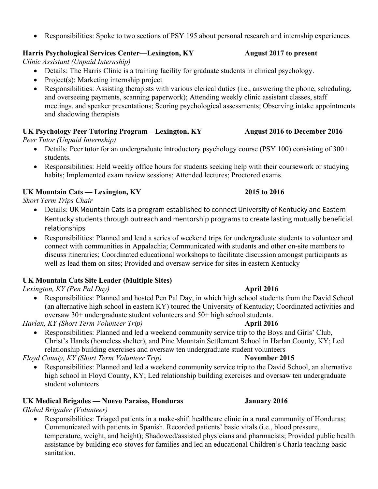• Responsibilities: Spoke to two sections of PSY 195 about personal research and internship experiences

## **Harris Psychological Services Center—Lexington, KY** August 2017 to present

*Clinic Assistant (Unpaid Internship)*

- Details: The Harris Clinic is a training facility for graduate students in clinical psychology.
- Project(s): Marketing internship project
- Responsibilities: Assisting therapists with various clerical duties (i.e., answering the phone, scheduling, and overseeing payments, scanning paperwork); Attending weekly clinic assistant classes, staff meetings, and speaker presentations; Scoring psychological assessments; Observing intake appointments and shadowing therapists

# UK Psychology Peer Tutoring Program—Lexington, KY August 2016 to December 2016

*Peer Tutor (Unpaid Internship)*

- Details: Peer tutor for an undergraduate introductory psychology course (PSY 100) consisting of 300+ students.
- Responsibilities: Held weekly office hours for students seeking help with their coursework or studying habits; Implemented exam review sessions; Attended lectures; Proctored exams.

# **UK Mountain Cats — Lexington, KY 2015 to 2016**

*Short Term Trips Chair*

- Details: UK Mountain Cats is a program established to connect University of Kentucky and Eastern Kentucky students through outreach and mentorship programs to create lasting mutually beneficial relationships
- Responsibilities: Planned and lead a series of weekend trips for undergraduate students to volunteer and connect with communities in Appalachia; Communicated with students and other on-site members to discuss itineraries; Coordinated educational workshops to facilitate discussion amongst participants as well as lead them on sites; Provided and oversaw service for sites in eastern Kentucky

# **UK Mountain Cats Site Leader (Multiple Sites)**

*Lexington, KY (Pen Pal Day)* **April 2016**

• Responsibilities: Planned and hosted Pen Pal Day, in which high school students from the David School (an alternative high school in eastern KY) toured the University of Kentucky; Coordinated activities and oversaw 30+ undergraduate student volunteers and 50+ high school students.

*Harlan, KY (Short Term Volunteer Trip)* **April 2016** 

• Responsibilities: Planned and led a weekend community service trip to the Boys and Girls' Club, Christ's Hands (homeless shelter), and Pine Mountain Settlement School in Harlan County, KY; Led relationship building exercises and oversaw ten undergraduate student volunteers

*Floyd County, KY (Short Term Volunteer Trip)* **November 2015** 

• Responsibilities: Planned and led a weekend community service trip to the David School, an alternative high school in Floyd County, KY; Led relationship building exercises and oversaw ten undergraduate student volunteers

# **UK Medical Brigades — Nuevo Paraiso, Honduras January 2016**

*Global Brigader (Volunteer)*

• Responsibilities: Triaged patients in a make-shift healthcare clinic in a rural community of Honduras; Communicated with patients in Spanish. Recorded patients' basic vitals (i.e., blood pressure, temperature, weight, and height); Shadowed/assisted physicians and pharmacists; Provided public health assistance by building eco-stoves for families and led an educational Children's Charla teaching basic sanitation.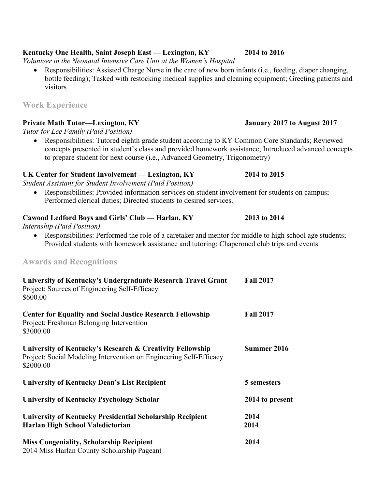## **Kentucky One Health, Saint Joseph East — Lexington, KY 2014 to 2016**

*Volunteer in the Neonatal Intensive Care Unit at the Women's Hospital*

• Responsibilities: Assisted Charge Nurse in the care of new born infants (i.e., feeding, diaper changing, bottle feeding); Tasked with restocking medical supplies and cleaning equipment; Greeting patients and visitors

## **Work Experience**

## **Private Math Tutor—Lexington, KY January 2017 to August 2017**

*Tutor for Lee Family (Paid Position)*

• Responsibilities: Tutored eighth grade student according to KY Common Core Standards; Reviewed concepts presented in student's class and provided homework assistance; Introduced advanced concepts to prepare student for next course (i.e., Advanced Geometry, Trigonometry)

## **UK Center for Student Involvement — Lexington, KY 2014 to 2015**

*Student Assistant for Student Involvement (Paid Position)*

• Responsibilities: Provided information services on student involvement for students on campus; Performed clerical duties; Directed students to desired services.

## **Cawood Ledford Boys and Girls' Club — Harlan, KY 2013 to 2014**

*Internship (Paid Position)*

• Responsibilities: Performed the role of a caretaker and mentor for middle to high school age students; Provided students with homework assistance and tutoring; Chaperoned club trips and events

## **Awards and Recognitions**

| University of Kentucky's Undergraduate Research Travel Grant<br>Project: Sources of Engineering Self-Efficacy<br>\$600.00                    | <b>Fall 2017</b> |
|----------------------------------------------------------------------------------------------------------------------------------------------|------------------|
| <b>Center for Equality and Social Justice Research Fellowship</b><br>Project: Freshman Belonging Intervention<br>\$3000.00                   | <b>Fall 2017</b> |
| University of Kentucky's Research & Creativity Fellowship<br>Project: Social Modeling Intervention on Engineering Self-Efficacy<br>\$2000.00 | Summer 2016      |
| <b>University of Kentucky Dean's List Recipient</b>                                                                                          | 5 semesters      |
| <b>University of Kentucky Psychology Scholar</b>                                                                                             | 2014 to present  |
| <b>University of Kentucky Presidential Scholarship Recipient</b><br>Harlan High School Valedictorian                                         | 2014<br>2014     |
| <b>Miss Congeniality, Scholarship Recipient</b><br>2014 Miss Harlan County Scholarship Pageant                                               | 2014             |